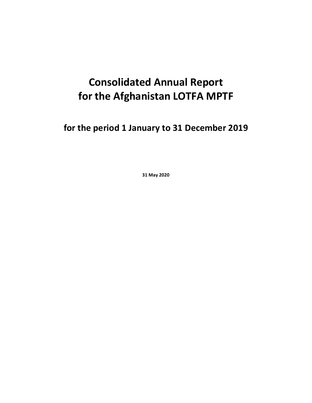# **Consolidated Annual Report for the Afghanistan LOTFA MPTF**

**for the period 1 January to 31 December 2019**

**31 May 2020**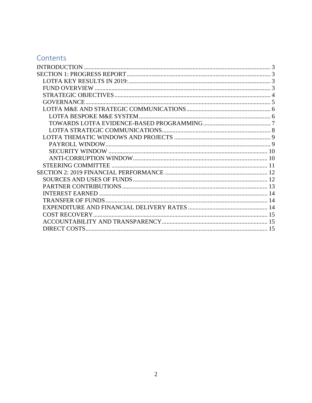# Contents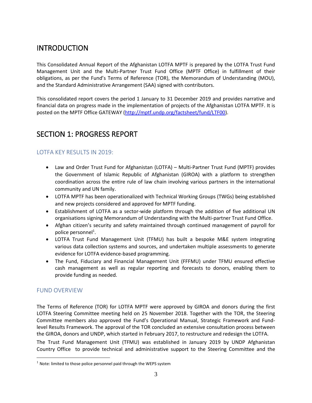# <span id="page-2-0"></span>**INTRODUCTION**

This Consolidated Annual Report of the Afghanistan LOTFA MPTF is prepared by the LOTFA Trust Fund Management Unit and the Multi-Partner Trust Fund Office (MPTF Office) in fulfillment of their obligations, as per the Fund's Terms of Reference (TOR), the Memorandum of Understanding (MOU), and the Standard Administrative Arrangement (SAA) signed with contributors.

This consolidated report covers the period 1 January to 31 December 2019 and provides narrative and financial data on progress made in the implementation of projects of the Afghanistan LOTFA MPTF. It is posted on the MPTF Office GATEWAY [\(http://mptf.undp.org/factsheet/fund/LTF00\)](http://mptf.undp.org/factsheet/fund/LTF00).

# <span id="page-2-1"></span>SECTION 1: PROGRESS REPORT

# <span id="page-2-2"></span>LOTFA KEY RESULTS IN 2019:

- Law and Order Trust Fund for Afghanistan (LOTFA) Multi-Partner Trust Fund (MPTF) provides the Government of Islamic Republic of Afghanistan (GIROA) with a platform to strengthen coordination across the entire rule of law chain involving various partners in the international community and UN family.
- LOTFA MPTF has been operationalized with Technical Working Groups (TWGs) being established and new projects considered and approved for MPTF funding.
- Establishment of LOTFA as a sector-wide platform through the addition of five additional UN organisations signing Memorandum of Understanding with the Multi-partner Trust Fund Office.
- Afghan citizen's security and safety maintained through continued management of payroll for police personnel<sup>1</sup>.
- LOTFA Trust Fund Management Unit (TFMU) has built a bespoke M&E system integrating various data collection systems and sources, and undertaken multiple assessments to generate evidence for LOTFA evidence-based programming.
- The Fund, Fiduciary and Financial Management Unit (FFFMU) under TFMU ensured effective cash management as well as regular reporting and forecasts to donors, enabling them to provide funding as needed.

# <span id="page-2-3"></span>FUND OVERVIEW

The Terms of Reference (TOR) for LOTFA MPTF were approved by GIROA and donors during the first LOTFA Steering Committee meeting held on 25 November 2018. Together with the TOR, the Steering Committee members also approved the Fund's Operational Manual, Strategic Framework and Fundlevel Results Framework. The approval of the TOR concluded an extensive consultation process between the GIROA, donors and UNDP, which started in February 2017, to restructure and redesign the LOTFA.

The Trust Fund Management Unit (TFMU) was established in January 2019 by UNDP Afghanistan Country Office to provide technical and administrative support to the Steering Committee and the

 $1$  Note: limited to those police personnel paid through the WEPS system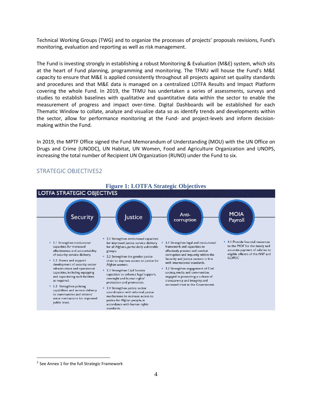Technical Working Groups (TWG) and to organize the processes of projects' proposals revisions, Fund's monitoring, evaluation and reporting as well as risk management.

The Fund is investing strongly in establishing a robust Monitoring & Evaluation (M&E) system, which sits at the heart of Fund planning, programming and monitoring. The TFMU will house the Fund's M&E capacity to ensure that M&E is applied consistently throughout all projects against set quality standards and procedures and that M&E data is managed on a centralized LOTFA Results and Impact Platform covering the whole Fund. In 2019, the TFMU has undertaken a series of assessments, surveys and studies to establish baselines with qualitative and quantitative data within the sector to enable the measurement of progress and impact over-time. Digital Dashboards will be established for each Thematic Window to collate, analyze and visualize data so as identify trends and developments within the sector, allow for performance monitoring at the Fund- and project-levels and inform decisionmaking within the Fund.

In 2019, the MPTF Office signed the Fund Memorandum of Understanding (MOU) with the UN Office on Drugs and Crime (UNODC), UN Habitat, UN Women, Food and Agriculture Organization and UNOPS, increasing the total number of Recipient UN Organization (RUNO) under the Fund to six.



#### <span id="page-3-0"></span>STRATEGIC OBJECTIVES2

 $^2$  See Annex 1 for the full Strategic Framework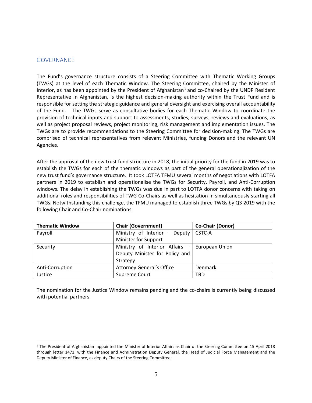#### <span id="page-4-0"></span>**GOVERNANCE**

The Fund's governance structure consists of a Steering Committee with Thematic Working Groups (TWGs) at the level of each Thematic Window. The Steering Committee, chaired by the Minister of Interior, as has been appointed by the President of Afghanistan<sup>3</sup> and co-Chaired by the UNDP Resident Representative in Afghanistan, is the highest decision-making authority within the Trust Fund and is responsible for setting the strategic guidance and general oversight and exercising overall accountability of the Fund. The TWGs serve as consultative bodies for each Thematic Window to coordinate the provision of technical inputs and support to assessments, studies, surveys, reviews and evaluations, as well as project proposal reviews, project monitoring, risk management and implementation issues. The TWGs are to provide recommendations to the Steering Committee for decision-making. The TWGs are comprised of technical representatives from relevant Ministries, funding Donors and the relevant UN Agencies.

After the approval of the new trust fund structure in 2018, the initial priority for the fund in 2019 was to establish the TWGs for each of the thematic windows as part of the general operationalization of the new trust fund's governance structure. It took LOTFA TFMU several months of negotiations with LOTFA partners in 2019 to establish and operationalise the TWGs for Security, Payroll, and Anti-Corruption windows. The delay in establishing the TWGs was due in part to LOTFA donor concerns with taking on additional roles and responsibilities of TWG Co-Chairs as well as hesitation in simultaneously starting all TWGs. Notwithstanding this challenge, the TFMU managed to establish three TWGs by Q3 2019 with the following Chair and Co-Chair nominations:

| <b>Thematic Window</b> | <b>Chair (Government)</b>        | <b>Co-Chair (Donor)</b> |
|------------------------|----------------------------------|-------------------------|
| Payroll                | Ministry of Interior - Deputy    | CSTC-A                  |
|                        | Minister for Support             |                         |
| Security               | Ministry of Interior Affairs $-$ | European Union          |
|                        | Deputy Minister for Policy and   |                         |
|                        | Strategy                         |                         |
| Anti-Corruption        | <b>Attorney General's Office</b> | Denmark                 |
| Justice                | Supreme Court                    | TBD                     |

The nomination for the Justice Window remains pending and the co-chairs is currently being discussed with potential partners.

<sup>&</sup>lt;sup>3</sup> The President of Afghanistan appointed the Minister of Interior Affairs as Chair of the Steering Committee on 15 April 2018 through letter 1471, with the Finance and Administration Deputy General, the Head of Judicial Force Management and the Deputy Minister of Finance, as deputy Chairs of the Steering Committee.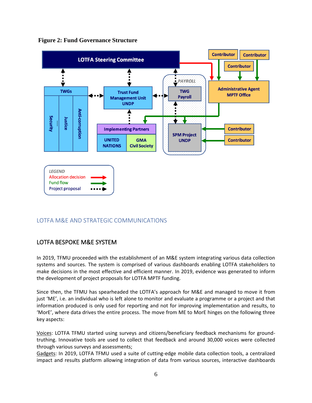

**Figure 2: Fund Governance Structure**

# <span id="page-5-0"></span>LOTFA M&E AND STRATEGIC COMMUNICATIONS

# <span id="page-5-1"></span>LOTFA BESPOKE M&E SYSTEM

In 2019, TFMU proceeded with the establishment of an M&E system integrating various data collection systems and sources. The system is comprised of various dashboards enabling LOTFA stakeholders to make decisions in the most effective and efficient manner. In 2019, evidence was generated to inform the development of project proposals for LOTFA MPTF funding.

Since then, the TFMU has spearheaded the LOTFA's approach for M&E and managed to move it from just 'ME', i.e. an individual who is left alone to monitor and evaluate a programme or a project and that information produced is only used for reporting and not for improving implementation and results, to 'MorE', where data drives the entire process. The move from ME to MorE hinges on the following three key aspects:

Voices: LOTFA TFMU started using surveys and citizens/beneficiary feedback mechanisms for groundtruthing. Innovative tools are used to collect that feedback and around 30,000 voices were collected through various surveys and assessments;

Gadgets: In 2019, LOTFA TFMU used a suite of cutting-edge mobile data collection tools, a centralized impact and results platform allowing integration of data from various sources, interactive dashboards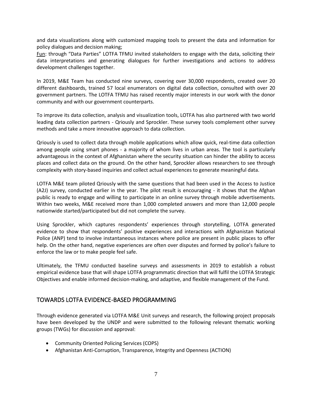and data visualizations along with customized mapping tools to present the data and information for policy dialogues and decision making;

Fun: through "Data Parties" LOTFA TFMU invited stakeholders to engage with the data, soliciting their data interpretations and generating dialogues for further investigations and actions to address development challenges together.

In 2019, M&E Team has conducted nine surveys, covering over 30,000 respondents, created over 20 different dashboards, trained 57 local enumerators on digital data collection, consulted with over 20 government partners. The LOTFA TFMU has raised recently major interests in our work with the donor community and with our government counterparts.

To improve its data collection, analysis and visualization tools, LOTFA has also partnered with two world leading data collection partners - Qriously and Sprockler. These survey tools complement other survey methods and take a more innovative approach to data collection.

Qriously is used to collect data through mobile applications which allow quick, real-time data collection among people using smart phones - a majority of whom lives in urban areas. The tool is particularly advantageous in the context of Afghanistan where the security situation can hinder the ability to access places and collect data on the ground. On the other hand, Sprockler allows researchers to see through complexity with story-based inquiries and collect actual experiences to generate meaningful data.

LOTFA M&E team piloted Qriously with the same questions that had been used in the Access to Justice (A2J) survey, conducted earlier in the year. The pilot result is encouraging - it shows that the Afghan public is ready to engage and willing to participate in an online survey through mobile advertisements. Within two weeks, M&E received more than 1,000 completed answers and more than 12,000 people nationwide started/participated but did not complete the survey.

Using Sprockler, which captures respondents' experiences through storytelling, LOTFA generated evidence to show that respondents' positive experiences and interactions with Afghanistan National Police (ANP) tend to involve instantaneous instances where police are present in public places to offer help. On the other hand, negative experiences are often over disputes and formed by police's failure to enforce the law or to make people feel safe.

Ultimately, the TFMU conducted baseline surveys and assessments in 2019 to establish a robust empirical evidence base that will shape LOTFA programmatic direction that will fulfil the LOTFA Strategic Objectives and enable informed decision-making, and adaptive, and flexible management of the Fund.

# <span id="page-6-0"></span>TOWARDS LOTFA EVIDENCE-BASED PROGRAMMING

Through evidence generated via LOTFA M&E Unit surveys and research, the following project proposals have been developed by the UNDP and were submitted to the following relevant thematic working groups (TWGs) for discussion and approval:

- Community Oriented Policing Services (COPS)
- Afghanistan Anti-Corruption, Transparence, Integrity and Openness (ACTION)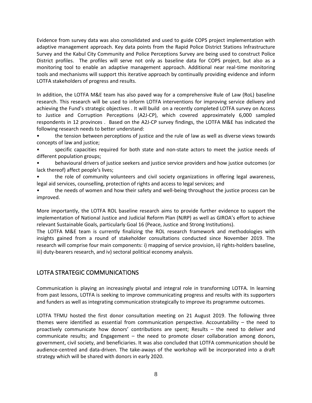Evidence from survey data was also consolidated and used to guide COPS project implementation with adaptive management approach. Key data points from the Rapid Police District Stations Infrastructure Survey and the Kabul City Community and Police Perceptions Survey are being used to construct Police District profiles. The profiles will serve not only as baseline data for COPS project, but also as a monitoring tool to enable an adaptive management approach. Additional near real-time monitoring tools and mechanisms will support this iterative approach by continually providing evidence and inform LOTFA stakeholders of progress and results.

In addition, the LOTFA M&E team has also paved way for a comprehensive Rule of Law (RoL) baseline research. This research will be used to inform LOTFA interventions for improving service delivery and achieving the Fund's strategic objectives . It will build on a recently completed LOTFA survey on Access to Justice and Corruption Perceptions (A2J-CP), which covered approximately 6,000 sampled respondents in 12 provinces . Based on the A2J-CP survey findings, the LOTFA M&E has indicated the following research needs to better understand:

• the tension between perceptions of justice and the rule of law as well as diverse views towards concepts of law and justice;

• specific capacities required for both state and non-state actors to meet the justice needs of different population groups;

• behavioural drivers of justice seekers and justice service providers and how justice outcomes (or lack thereof) affect people's lives;

• the role of community volunteers and civil society organizations in offering legal awareness, legal aid services, counselling, protection of rights and access to legal services; and

• the needs of women and how their safety and well-being throughout the justice process can be improved.

More importantly, the LOTFA ROL baseline research aims to provide further evidence to support the implementation of National Justice and Judicial Reform Plan (NJRP) as well as GIROA's effort to achieve relevant Sustainable Goals, particularly Goal 16 (Peace, Justice and Strong Institutions).

The LOTFA M&E team is currently finalizing the ROL research framework and methodologies with insights gained from a round of stakeholder consultations conducted since November 2019. The research will comprise four main components: i) mapping of service provision, ii) rights-holders baseline, iii) duty-bearers research, and iv) sectoral political economy analysis.

# <span id="page-7-0"></span>LOTFA STRATEGIC COMMUNICATIONS

Communication is playing an increasingly pivotal and integral role in transforming LOTFA. In learning from past lessons, LOTFA is seeking to improve communicating progress and results with its supporters and funders as well as integrating communication strategically to improve its programme outcomes.

LOTFA TFMU hosted the first donor consultation meeting on 21 August 2019. The following three themes were identified as essential from communication perspective. Accountability – the need to proactively communicate how donors' contributions are spent; Results – the need to deliver and communicate results; and Engagement – the need to promote closer collaboration among donors, government, civil society, and beneficiaries. It was also concluded that LOTFA communication should be audience-centred and data-driven. The take-aways of the workshop will be incorporated into a draft strategy which will be shared with donors in early 2020.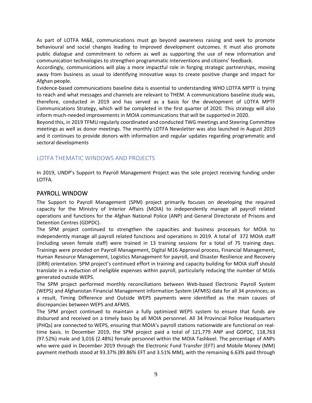As part of LOTFA M&E, communications must go beyond awareness raising and seek to promote behavioural and social changes leading to improved development outcomes. It must also promote public dialogue and commitment to reform as well as supporting the use of new information and communication technologies to strengthen programmatic interventions and citizens' feedback.

Accordingly, communications will play a more impactful role in forging strategic partnerships, moving away from business as usual to identifying innovative ways to create positive change and impact for Afghan people.

Evidence-based communications baseline data is essential to understanding WHO LOTFA MPTF is trying to reach and what messages and channels are relevant to THEM. A communications baseline study was, therefore, conducted in 2019 and has served as a basis for the development of LOTFA MPTF Communications Strategy, which will be completed in the first quarter of 2020. This strategy will also inform much-needed improvements in MOIA communications that will be supported in 2020.

Beyond this, in 2019 TFMU regularly coordinated and conducted TWG meetings and Steering Committee meetings as well as donor meetings. The monthly LOTFA Newsletter was also launched in August 2019 and it continues to provide donors with information and regular updates regarding programmatic and sectoral developments

# <span id="page-8-0"></span>LOTFA THEMATIC WINDOWS AND PROJECTS

In 2019, UNDP's Support to Payroll Management Project was the sole project receiving funding under LOTFA.

### <span id="page-8-1"></span>PAYROLL WINDOW

The Support to Payroll Management (SPM) project primarily focuses on developing the required capacity for the Ministry of Interior Affairs (MOIA) to independently manage all payroll related operations and functions for the Afghan National Police (ANP) and General Directorate of Prisons and Detention Centres (GDPDC).

The SPM project continued to strengthen the capacities and business processes for MOIA to independently manage all payroll related functions and operations in 2019. A total of 372 MOIA staff (including seven female staff) were trained in 13 training sessions for a total of 75 training days. Trainings were provided on Payroll Management, Digital M16 Approval process, Financial Management, Human Resource Management, Logistics Management for payroll, and Disaster Resilience and Recovery (DRR) orientation. SPM project's continued effort in training and capacity building for MOIA staff should translate in a reduction of ineligible expenses within payroll, particularly reducing the number of M16s generated outside WEPS.

The SPM project performed monthly reconciliations between Web-based Electronic Payroll System (WEPS) and Afghanistan Financial Management Information System (AFMIS) data for all 34 provinces; as a result, Timing Difference and Outside WEPS payments were identified as the main causes of discrepancies between WEPS and AFMIS.

The SPM project continued to maintain a fully optimized WEPS system to ensure that funds are disbursed and received on a timely basis by all MOIA personnel. All 34 Provincial Police Headquarters (PHQs) are connected to WEPS, ensuring that MOIA's payroll stations nationwide are functional on realtime basis. In December 2019, the SPM project paid a total of 121,779 ANP and GDPDC, 118,763 (97.52%) male and 3,016 (2.48%) female personnel within the MOIA Tashkeel. The percentage of ANPs who were paid in December 2019 through the Electronic Fund Transfer (EFT) and Mobile Money (MM) payment methods stood at 93.37% (89.86% EFT and 3.51% MM), with the remaining 6.63% paid through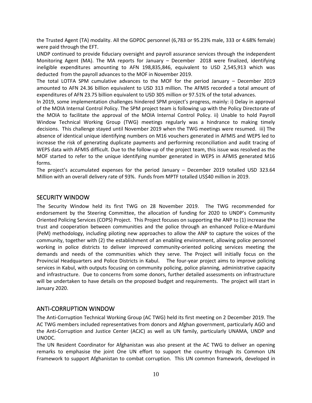the Trusted Agent (TA) modality. All the GDPDC personnel (6,783 or 95.23% male, 333 or 4.68% female) were paid through the EFT.

UNDP continued to provide fiduciary oversight and payroll assurance services through the independent Monitoring Agent (MA). The MA reports for January – December 2018 were finalized, identifying ineligible expenditures amounting to AFN 198,835,846, equivalent to USD 2,545,913 which was deducted from the payroll advances to the MOF in November 2019.

The total LOTFA SPM cumulative advances to the MOF for the period January – December 2019 amounted to AFN 24.36 billion equivalent to USD 313 million. The AFMIS recorded a total amount of expenditures of AFN 23.75 billion equivalent to USD 305 million or 97.51% of the total advances.

In 2019, some implementation challenges hindered SPM project's progress, mainly: i) Delay in approval of the MOIA Internal Control Policy. The SPM project team is following up with the Policy Directorate of the MOIA to facilitate the approval of the MOIA Internal Control Policy. ii) Unable to hold Payroll Window Technical Working Group (TWG) meetings regularly was a hindrance to making timely decisions. This challenge stayed until November 2019 when the TWG meetings were resumed. iii) The absence of identical unique identifying numbers on M16 vouchers generated in AFMIS and WEPS led to increase the risk of generating duplicate payments and performing reconciliation and audit tracing of WEPS data with AFMIS difficult. Due to the follow-up of the project team, this issue was resolved as the MOF started to refer to the unique identifying number generated in WEPS in AFMIS generated M16 forms.

The project's accumulated expenses for the period January – December 2019 totalled USD 323.64 Million with an overall delivery rate of 93%. Funds from MPTF totalled US\$40 million in 2019.

#### <span id="page-9-0"></span>SECURITY WINDOW

The Security Window held its first TWG on 28 November 2019. The TWG recommended for endorsement by the Steering Committee, the allocation of funding for 2020 to UNDP's Community Oriented Policing Services (COPS) Project. This Project focuses on supporting the ANP to (1) increase the trust and cooperation between communities and the police through an enhanced Police-e-Mardumi (PeM) methodology, including piloting new approaches to allow the ANP to capture the voices of the community, together with (2) the establishment of an enabling environment, allowing police personnel working in police districts to deliver improved community-oriented policing services meeting the demands and needs of the communities which they serve. The Project will initially focus on the Provincial Headquarters and Police Districts in Kabul. The four-year project aims to improve policing services in Kabul, with outputs focusing on community policing, police planning, administrative capacity and infrastructure. Due to concerns from some donors, further detailed assessments on infrastructure will be undertaken to have details on the proposed budget and requirements. The project will start in January 2020.

#### <span id="page-9-1"></span>ANTI-CORRUPTION WINDOW

The Anti-Corruption Technical Working Group (AC TWG) held its first meeting on 2 December 2019. The AC TWG members included representatives from donors and Afghan government, particularly AGO and the Anti-Corruption and Justice Center (ACJC) as well as UN family, particularly UNAMA, UNDP and UNODC.

The UN Resident Coordinator for Afghanistan was also present at the AC TWG to deliver an opening remarks to emphasise the joint One UN effort to support the country through its Common UN Framework to support Afghanistan to combat corruption. This UN common framework, developed in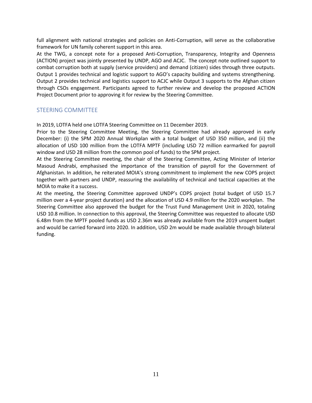full alignment with national strategies and policies on Anti-Corruption, will serve as the collaborative framework for UN family coherent support in this area.

At the TWG, a concept note for a proposed Anti-Corruption, Transparency, Integrity and Openness (ACTION) project was jointly presented by UNDP, AGO and ACJC. The concept note outlined support to combat corruption both at supply (service providers) and demand (citizen) sides through three outputs. Output 1 provides technical and logistic support to AGO's capacity building and systems strengthening. Output 2 provides technical and logistics support to ACJC while Output 3 supports to the Afghan citizen through CSOs engagement. Participants agreed to further review and develop the proposed ACTION Project Document prior to approving it for review by the Steering Committee.

#### <span id="page-10-0"></span>STEERING COMMITTEE

In 2019, LOTFA held one LOTFA Steering Committee on 11 December 2019.

Prior to the Steering Committee Meeting, the Steering Committee had already approved in early December: (i) the SPM 2020 Annual Workplan with a total budget of USD 350 million, and (ii) the allocation of USD 100 million from the LOTFA MPTF (including USD 72 million earmarked for payroll window and USD 28 million from the common pool of funds) to the SPM project.

At the Steering Committee meeting, the chair of the Steering Committee, Acting Minister of Interior Masoud Andrabi, emphasised the importance of the transition of payroll for the Government of Afghanistan. In addition, he reiterated MOIA's strong commitment to implement the new COPS project together with partners and UNDP, reassuring the availability of technical and tactical capacities at the MOIA to make it a success.

At the meeting, the Steering Committee approved UNDP's COPS project (total budget of USD 15.7 million over a 4-year project duration) and the allocation of USD 4.9 million for the 2020 workplan. The Steering Committee also approved the budget for the Trust Fund Management Unit in 2020, totaling USD 10.8 million. In connection to this approval, the Steering Committee was requested to allocate USD 6.48m from the MPTF pooled funds as USD 2.36m was already available from the 2019 unspent budget and would be carried forward into 2020. In addition, USD 2m would be made available through bilateral funding.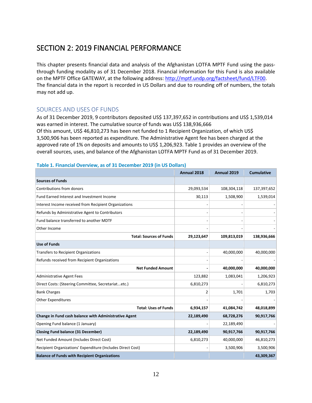# <span id="page-11-0"></span>SECTION 2: 2019 FINANCIAL PERFORMANCE

This chapter presents financial data and analysis of the Afghanistan LOTFA MPTF Fund using the passthrough funding modality as of 31 December 2018. Financial information for this Fund is also available on the MPTF Office GATEWAY, at the following address: [http://mptf.undp.org/factsheet/fund/LTF00.](http://mptf.undp.org/factsheet/fund/LTF00) The financial data in the report is recorded in US Dollars and due to rounding off of numbers, the totals may not add up.

### <span id="page-11-1"></span>SOURCES AND USES OF FUNDS

As of 31 December 2019, 9 contributors deposited US\$ 137,397,652 in contributions and US\$ 1,539,014 was earned in interest. The cumulative source of funds was US\$ 138,936,666 Of this amount, US\$ 46,810,273 has been net funded to 1 Recipient Organization, of which US\$ 3,500,906 has been reported as expenditure. The Administrative Agent fee has been charged at the approved rate of 1% on deposits and amounts to US\$ 1,206,923. Table 1 provides an overview of the overall sources, uses, and balance of the Afghanistan LOTFA MPTF Fund as of 31 December 2019.

#### **Table 1. Financial Overview, as of 31 December 2019 (in US Dollars)**

|                                                             | Annual 2018 | <b>Annual 2019</b> | <b>Cumulative</b> |
|-------------------------------------------------------------|-------------|--------------------|-------------------|
| <b>Sources of Funds</b>                                     |             |                    |                   |
| Contributions from donors                                   | 29,093,534  | 108,304,118        | 137,397,652       |
| Fund Earned Interest and Investment Income                  | 30,113      | 1,508,900          | 1,539,014         |
| Interest Income received from Recipient Organizations       |             |                    |                   |
| Refunds by Administrative Agent to Contributors             |             |                    |                   |
| Fund balance transferred to another MDTF                    |             |                    |                   |
| Other Income                                                |             |                    |                   |
| <b>Total: Sources of Funds</b>                              | 29,123,647  | 109,813,019        | 138,936,666       |
| <b>Use of Funds</b>                                         |             |                    |                   |
| <b>Transfers to Recipient Organizations</b>                 |             | 40,000,000         | 40,000,000        |
| Refunds received from Recipient Organizations               |             |                    |                   |
| <b>Net Funded Amount</b>                                    |             | 40,000,000         | 40,000,000        |
| <b>Administrative Agent Fees</b>                            | 123,882     | 1,083,041          | 1,206,923         |
| Direct Costs: (Steering Committee, Secretariatetc.)         | 6,810,273   |                    | 6,810,273         |
| <b>Bank Charges</b>                                         | 2           | 1,701              | 1,703             |
| <b>Other Expenditures</b>                                   |             |                    |                   |
| <b>Total: Uses of Funds</b>                                 | 6,934,157   | 41,084,742         | 48,018,899        |
| Change in Fund cash balance with Administrative Agent       | 22,189,490  | 68,728,276         | 90,917,766        |
| Opening Fund balance (1 January)                            |             | 22,189,490         |                   |
| <b>Closing Fund balance (31 December)</b>                   | 22,189,490  | 90,917,766         | 90,917,766        |
| Net Funded Amount (Includes Direct Cost)                    | 6,810,273   | 40,000,000         | 46,810,273        |
| Recipient Organizations' Expenditure (Includes Direct Cost) |             | 3,500,906          | 3,500,906         |
| <b>Balance of Funds with Recipient Organizations</b>        |             |                    | 43,309,367        |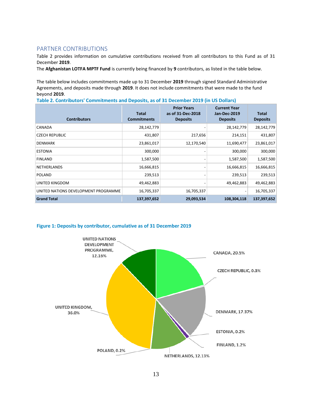#### <span id="page-12-0"></span>PARTNER CONTRIBUTIONS

Table 2 provides information on cumulative contributions received from all contributors to this Fund as of 31 December **2019**.

The **Afghanistan LOTFA MPTF Fund** is currently being financed by **9** contributors, as listed in the table below.

The table below includes commitments made up to 31 December **2019** through signed Standard Administrative Agreements, and deposits made through **2019**. It does not include commitments that were made to the fund beyond **2019**.

**Table 2. Contributors' Commitments and Deposits, as of 31 December 2019 (in US Dollars)**

| <b>Contributors</b>                  | <b>Total</b><br><b>Commitments</b> | <b>Prior Years</b><br>as of 31-Dec-2018<br><b>Deposits</b> | <b>Current Year</b><br><b>Jan-Dec-2019</b><br><b>Deposits</b> | <b>Total</b><br><b>Deposits</b> |
|--------------------------------------|------------------------------------|------------------------------------------------------------|---------------------------------------------------------------|---------------------------------|
| CANADA                               | 28,142,779                         |                                                            | 28,142,779                                                    | 28,142,779                      |
| <b>CZECH REPUBLIC</b>                | 431,807                            | 217,656                                                    | 214,151                                                       | 431,807                         |
| <b>DENMARK</b>                       | 23,861,017                         | 12,170,540                                                 | 11,690,477                                                    | 23,861,017                      |
| <b>ESTONIA</b>                       | 300,000                            |                                                            | 300,000                                                       | 300,000                         |
| <b>FINLAND</b>                       | 1,587,500                          |                                                            | 1,587,500                                                     | 1,587,500                       |
| <b>NETHERLANDS</b>                   | 16,666,815                         |                                                            | 16,666,815                                                    | 16,666,815                      |
| <b>POLAND</b>                        | 239,513                            |                                                            | 239,513                                                       | 239,513                         |
| UNITED KINGDOM                       | 49,462,883                         |                                                            | 49,462,883                                                    | 49,462,883                      |
| UNITED NATIONS DEVELOPMENT PROGRAMME | 16,705,337                         | 16,705,337                                                 |                                                               | 16,705,337                      |
| <b>Grand Total</b>                   | 137,397,652                        | 29,093,534                                                 | 108,304,118                                                   | 137,397,652                     |



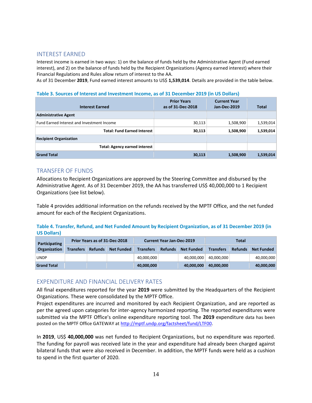#### <span id="page-13-0"></span>INTEREST EARNED

Interest income is earned in two ways: 1) on the balance of funds held by the Administrative Agent (Fund earned interest), and 2) on the balance of funds held by the Recipient Organizations (Agency earned interest) where their Financial Regulations and Rules allow return of interest to the AA.

As of 31 December **2019**, Fund earned interest amounts to US\$ **1,539,014**. Details are provided in the table below.

#### **Table 3. Sources of Interest and Investment Income, as of 31 December 2019 (in US Dollars)**

| <b>Interest Earned</b>                     | <b>Prior Years</b><br>as of 31-Dec-2018 | <b>Current Year</b><br>Jan-Dec-2019 | <b>Total</b> |
|--------------------------------------------|-----------------------------------------|-------------------------------------|--------------|
| <b>Administrative Agent</b>                |                                         |                                     |              |
| Fund Earned Interest and Investment Income | 30,113                                  | 1,508,900                           | 1,539,014    |
| <b>Total: Fund Earned Interest</b>         | 30,113                                  | 1,508,900                           | 1,539,014    |
| <b>Recipient Organization</b>              |                                         |                                     |              |
| Total: Agency earned interest              |                                         |                                     |              |
| <b>Grand Total</b>                         | 30,113                                  | 1,508,900                           | 1,539,014    |

### <span id="page-13-1"></span>TRANSFER OF FUNDS

Allocations to Recipient Organizations are approved by the Steering Committee and disbursed by the Administrative Agent. As of 31 December 2019, the AA has transferred US\$ 40,000,000 to 1 Recipient Organizations (see list below).

Table 4 provides additional information on the refunds received by the MPTF Office, and the net funded amount for each of the Recipient Organizations.

**Table 4. Transfer, Refund, and Net Funded Amount by Recipient Organization, as of 31 December 2019 (in US Dollars)**

| Prior Years as of 31-Dec-2018<br>Participating |                  |                | <b>Current Year Jan-Dec-2019</b> |                  |                | Total             |                  |                |                   |
|------------------------------------------------|------------------|----------------|----------------------------------|------------------|----------------|-------------------|------------------|----------------|-------------------|
| Organization                                   | <b>Transfers</b> | <b>Refunds</b> | <b>Net Funded</b>                | <b>Transfers</b> | <b>Refunds</b> | <b>Net Funded</b> | <b>Transfers</b> | <b>Refunds</b> | <b>Net Funded</b> |
| <b>UNDP</b>                                    |                  |                |                                  | 40,000,000       |                | 40.000.000        | 40.000.000       |                | 40,000,000        |
| <b>Grand Total</b>                             |                  |                |                                  | 40,000,000       |                | 40.000.000        | 40.000.000       |                | 40,000,000        |

#### <span id="page-13-2"></span>EXPENDITURE AND FINANCIAL DELIVERY RATES

All final expenditures reported for the year **2019** were submitted by the Headquarters of the Recipient Organizations. These were consolidated by the MPTF Office.

Project expenditures are incurred and monitored by each Recipient Organization, and are reported as per the agreed upon categories for inter-agency harmonized reporting. The reported expenditures were submitted via the MPTF Office's online expenditure reporting tool. The **2019** expenditure data has been posted on the MPTF Office GATEWAY at [http://mptf.undp.org/factsheet/fund/LTF00.](http://mptf.undp.org/factsheet/fund/LTF00)

In **2019**, US\$ **40,000,000** was net funded to Recipient Organizations, but no expenditure was reported. The funding for payroll was received late in the year and expenditure had already been charged against bilateral funds that were also received in December. In addition, the MPTF funds were held as a cushion to spend in the first quarter of 2020.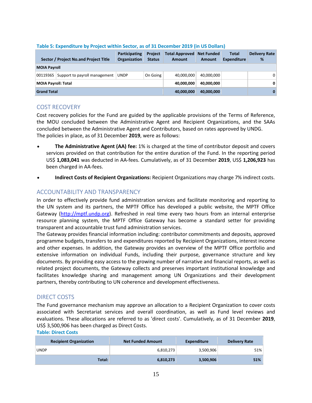|                     | Sector / Project No.and Project Title  | <b>Participating</b><br>Organization | <b>Project</b><br><b>Status</b> | <b>Total Approved</b><br><b>Amount</b> | <b>Net Funded</b><br><b>Amount</b> | <b>Total</b><br><b>Expenditure</b> | <b>Delivery Rate</b><br>% |
|---------------------|----------------------------------------|--------------------------------------|---------------------------------|----------------------------------------|------------------------------------|------------------------------------|---------------------------|
| <b>MOIA Payroll</b> |                                        |                                      |                                 |                                        |                                    |                                    |                           |
|                     | 00119365 Support to payroll management | <b>UNDP</b>                          | On Going                        | 40,000,000                             | 40,000,000                         |                                    | $\Omega$                  |
| MOIA Payroll: Total |                                        |                                      | 40.000.000                      | 40,000,000                             |                                    | $\mathbf{0}$                       |                           |
| <b>Grand Total</b>  |                                        |                                      | 40,000,000                      | 40,000,000                             |                                    | 0                                  |                           |

#### **Table 5: Expenditure by Project within Sector, as of 31 December 2019 (in US Dollars)**

#### <span id="page-14-0"></span>COST RECOVERY

Cost recovery policies for the Fund are guided by the applicable provisions of the Terms of Reference, the MOU concluded between the Administrative Agent and Recipient Organizations, and the SAAs concluded between the Administrative Agent and Contributors, based on rates approved by UNDG. The policies in place, as of 31 December **2019**, were as follows:

- **The Administrative Agent (AA) fee:** 1% is charged at the time of contributor deposit and covers services provided on that contribution for the entire duration of the Fund. In the reporting period US\$ **1,083,041** was deducted in AA-fees. Cumulatively, as of 31 December **2019**, US\$ **1,206,923** has been charged in AA-fees.
- **Indirect Costs of Recipient Organizations:** Recipient Organizations may charge 7% indirect costs.

# <span id="page-14-1"></span>ACCOUNTABILITY AND TRANSPARENCY

In order to effectively provide fund administration services and facilitate monitoring and reporting to the UN system and its partners, the MPTF Office has developed a public website, the MPTF Office Gateway [\(http://mptf.undp.org\)](http://mptf.undp.org/). Refreshed in real time every two hours from an internal enterprise resource planning system, the MPTF Office Gateway has become a standard setter for providing transparent and accountable trust fund administration services.

The Gateway provides financial information including: contributor commitments and deposits, approved programme budgets, transfers to and expenditures reported by Recipient Organizations, interest income and other expenses. In addition, the Gateway provides an overview of the MPTF Office portfolio and extensive information on individual Funds, including their purpose, governance structure and key documents. By providing easy access to the growing number of narrative and financial reports, as well as related project documents, the Gateway collects and preserves important institutional knowledge and facilitates knowledge sharing and management among UN Organizations and their development partners, thereby contributing to UN coherence and development effectiveness.

# <span id="page-14-2"></span>DIRECT COSTS

The Fund governance mechanism may approve an allocation to a Recipient Organization to cover costs associated with Secretariat services and overall coordination, as well as Fund level reviews and evaluations. These allocations are referred to as 'direct costs'. Cumulatively, as of 31 December **2019**, US\$ 3,500,906 has been charged as Direct Costs. **Table: Direct Costs**

| <b>Recipient Organization</b> | <b>Net Funded Amount</b> | Expenditure | <b>Delivery Rate</b> |
|-------------------------------|--------------------------|-------------|----------------------|
| <b>UNDP</b>                   | 6,810,273                | 3,500,906   | 51%                  |
| Total:                        | 6,810,273                | 3,500,906   | 51%                  |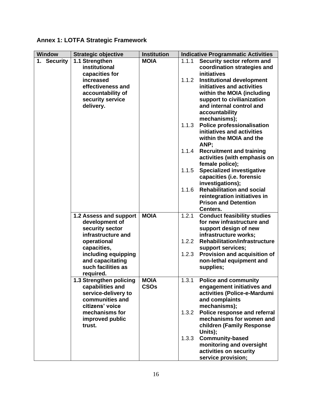# **Annex 1: LOTFA Strategic Framework**

| <b>Window</b> | <b>Strategic objective</b>                                                                                                                                                                                               | Institution                |                                                    | <b>Indicative Programmatic Activities</b>                                                                                                                                                                                                                                                                                                                                                                                                                                                                                                                                                                                                                |
|---------------|--------------------------------------------------------------------------------------------------------------------------------------------------------------------------------------------------------------------------|----------------------------|----------------------------------------------------|----------------------------------------------------------------------------------------------------------------------------------------------------------------------------------------------------------------------------------------------------------------------------------------------------------------------------------------------------------------------------------------------------------------------------------------------------------------------------------------------------------------------------------------------------------------------------------------------------------------------------------------------------------|
| 1. Security   | 1.1 Strengthen<br>institutional<br>capacities for<br>increased<br>effectiveness and<br>accountability of<br>security service<br>delivery.                                                                                | <b>MOIA</b>                | 1.1.1<br>1.1.2<br>1.1.3<br>1.1.4<br>1.1.5<br>1.1.6 | Security sector reform and<br>coordination strategies and<br>initiatives<br><b>Institutional development</b><br>initiatives and activities<br>within the MOIA (including<br>support to civilianization<br>and internal control and<br>accountability<br>mechanisms);<br><b>Police professionalisation</b><br>initiatives and activities<br>within the MOIA and the<br>ANP;<br><b>Recruitment and training</b><br>activities (with emphasis on<br>female police);<br><b>Specialized investigative</b><br>capacities (i.e. forensic<br>investigations);<br><b>Rehabilitation and social</b><br>reintegration initiatives in<br><b>Prison and Detention</b> |
|               | 1.2 Assess and support<br>development of<br>security sector<br>infrastructure and<br>operational<br>capacities,<br>including equipping<br>and capacitating<br>such facilities as<br>required.<br>1.3 Strengthen policing | <b>MOIA</b><br><b>MOIA</b> | 1.2.1<br>1.2.2<br>1.2.3<br>1.3.1                   | Centers.<br><b>Conduct feasibility studies</b><br>for new infrastructure and<br>support design of new<br>infrastructure works;<br><b>Rehabilitation/infrastructure</b><br>support services;<br>Provision and acquisition of<br>non-lethal equipment and<br>supplies;<br><b>Police and community</b>                                                                                                                                                                                                                                                                                                                                                      |
|               | capabilities and<br>service-delivery to<br>communities and<br>citizens' voice<br>mechanisms for<br>improved public<br>trust.                                                                                             | <b>CSOs</b>                | 1.3.2<br>1.3.3                                     | engagement initiatives and<br>activities (Police-e-Mardumi<br>and complaints<br>mechanisms);<br>Police response and referral<br>mechanisms for women and<br>children (Family Response<br>Units);<br><b>Community-based</b><br>monitoring and oversight<br>activities on security<br>service provision;                                                                                                                                                                                                                                                                                                                                                   |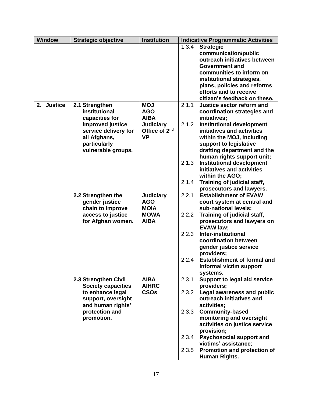| <b>Window</b> | <b>Strategic objective</b>                                                                                                                          | <b>Institution</b>                                                                                    | <b>Indicative Programmatic Activities</b>                                                                                                                                                                                                                                                                                                                                                                                                          |
|---------------|-----------------------------------------------------------------------------------------------------------------------------------------------------|-------------------------------------------------------------------------------------------------------|----------------------------------------------------------------------------------------------------------------------------------------------------------------------------------------------------------------------------------------------------------------------------------------------------------------------------------------------------------------------------------------------------------------------------------------------------|
|               |                                                                                                                                                     |                                                                                                       | 1.3.4<br><b>Strategic</b><br>communication/public<br>outreach initiatives between<br>Government and<br>communities to inform on<br>institutional strategies,<br>plans, policies and reforms<br>efforts and to receive<br>citizen's feedback on these.                                                                                                                                                                                              |
| 2. Justice    | 2.1 Strengthen<br>institutional<br>capacities for<br>improved justice<br>service delivery for<br>all Afghans,<br>particularly<br>vulnerable groups. | <b>MOJ</b><br><b>AGO</b><br><b>AIBA</b><br><b>Judiciary</b><br>Office of 2 <sup>nd</sup><br><b>VP</b> | 2.1.1<br>Justice sector reform and<br>coordination strategies and<br>initiatives;<br>2.1.2<br><b>Institutional development</b><br>initiatives and activities<br>within the MOJ, including<br>support to legislative<br>drafting department and the<br>human rights support unit;<br><b>Institutional development</b><br>2.1.3<br>initiatives and activities<br>within the AGO;<br>Training of judicial staff,<br>2.1.4<br>prosecutors and lawyers. |
|               | 2.2 Strengthen the<br>gender justice<br>chain to improve<br>access to justice<br>for Afghan women.                                                  | <b>Judiciary</b><br><b>AGO</b><br><b>MOIA</b><br><b>MOWA</b><br><b>AIBA</b>                           | 2.2.1<br><b>Establishment of EVAW</b><br>court system at central and<br>sub-national levels;<br>Training of judicial staff,<br>2.2.2<br>prosecutors and lawyers on<br><b>EVAW law;</b><br>2.2.3<br><b>Inter-institutional</b><br>coordination between<br>gender justice service<br>providers;<br><b>Establishment of formal and</b><br>2.2.4<br>informal victim support<br>systems.                                                                |
|               | 2.3 Strengthen Civil<br><b>Society capacities</b><br>to enhance legal<br>support, oversight<br>and human rights'<br>protection and<br>promotion.    | <b>AIBA</b><br><b>AIHRC</b><br><b>CSOs</b>                                                            | 2.3.1<br><b>Support to legal aid service</b><br>providers;<br>Legal awareness and public<br>2.3.2<br>outreach initiatives and<br>activities;<br><b>Community-based</b><br>2.3.3<br>monitoring and oversight<br>activities on justice service<br>provision;<br><b>Psychosocial support and</b><br>2.3.4<br>victims' assistance;<br>Promotion and protection of<br>2.3.5<br>Human Rights.                                                            |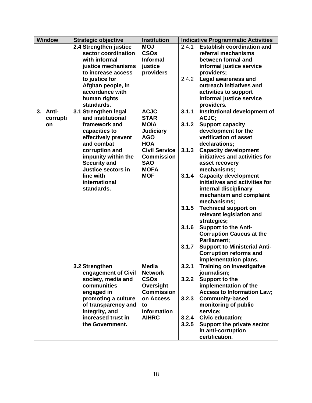| <b>Window</b> | <b>Strategic objective</b> | <b>Institution</b>   |       | <b>Indicative Programmatic Activities</b> |
|---------------|----------------------------|----------------------|-------|-------------------------------------------|
|               | 2.4 Strengthen justice     | <b>MOJ</b>           | 2.4.1 | <b>Establish coordination and</b>         |
|               | sector coordination        | <b>CSOs</b>          |       | referral mechanisms                       |
|               | with informal              | <b>Informal</b>      |       | between formal and                        |
|               | justice mechanisms         | justice              |       | informal justice service                  |
|               | to increase access         | providers            |       | providers;                                |
|               | to justice for             |                      | 2.4.2 | <b>Legal awareness and</b>                |
|               | Afghan people, in          |                      |       | outreach initiatives and                  |
|               | accordance with            |                      |       | activities to support                     |
|               | human rights               |                      |       | informal justice service                  |
|               | standards.                 |                      |       | providers.                                |
| 3. Anti-      | 3.1 Strengthen legal       | <b>ACJC</b>          | 3.1.1 | Institutional development of              |
| corrupti      | and institutional          | <b>STAR</b>          |       | ACJC;                                     |
| on            | framework and              | <b>MOIA</b>          | 3.1.2 | <b>Support capacity</b>                   |
|               | capacities to              | <b>Judiciary</b>     |       | development for the                       |
|               | effectively prevent        | <b>AGO</b>           |       | verification of asset                     |
|               | and combat                 | <b>HOA</b>           |       | declarations;                             |
|               | corruption and             | <b>Civil Service</b> | 3.1.3 | <b>Capacity development</b>               |
|               | impunity within the        | <b>Commission</b>    |       | initiatives and activities for            |
|               | <b>Security and</b>        | <b>SAO</b>           |       | asset recovery                            |
|               | Justice sectors in         | <b>MOFA</b>          |       | mechanisms;                               |
|               | line with                  | <b>MOF</b>           | 3.1.4 | <b>Capacity development</b>               |
|               | international              |                      |       | initiatives and activities for            |
|               | standards.                 |                      |       | internal disciplinary                     |
|               |                            |                      |       | mechanism and complaint                   |
|               |                            |                      |       | mechanisms;                               |
|               |                            |                      | 3.1.5 | <b>Technical support on</b>               |
|               |                            |                      |       | relevant legislation and                  |
|               |                            |                      |       | strategies;                               |
|               |                            |                      | 3.1.6 | <b>Support to the Anti-</b>               |
|               |                            |                      |       | <b>Corruption Caucus at the</b>           |
|               |                            |                      |       | Parliament;                               |
|               |                            |                      | 3.1.7 | <b>Support to Ministerial Anti-</b>       |
|               |                            |                      |       | <b>Corruption reforms and</b>             |
|               |                            |                      |       | implementation plans.                     |
|               | 3.2 Strengthen             | Media                | 3.2.1 | Training on investigative                 |
|               | engagement of Civil        | <b>Network</b>       |       | journalism;                               |
|               | society, media and         | <b>CSOs</b>          | 3.2.2 | Support to the                            |
|               | communities                | Oversight            |       | implementation of the                     |
|               | engaged in                 | <b>Commission</b>    |       | <b>Access to Information Law:</b>         |
|               | promoting a culture        | on Access            | 3.2.3 | <b>Community-based</b>                    |
|               | of transparency and        | to                   |       | monitoring of public                      |
|               | integrity, and             | <b>Information</b>   |       | service;                                  |
|               | increased trust in         | <b>AIHRC</b>         | 3.2.4 | Civic education;                          |
|               | the Government.            |                      | 3.2.5 | Support the private sector                |
|               |                            |                      |       | in anti-corruption                        |
|               |                            |                      |       | certification.                            |